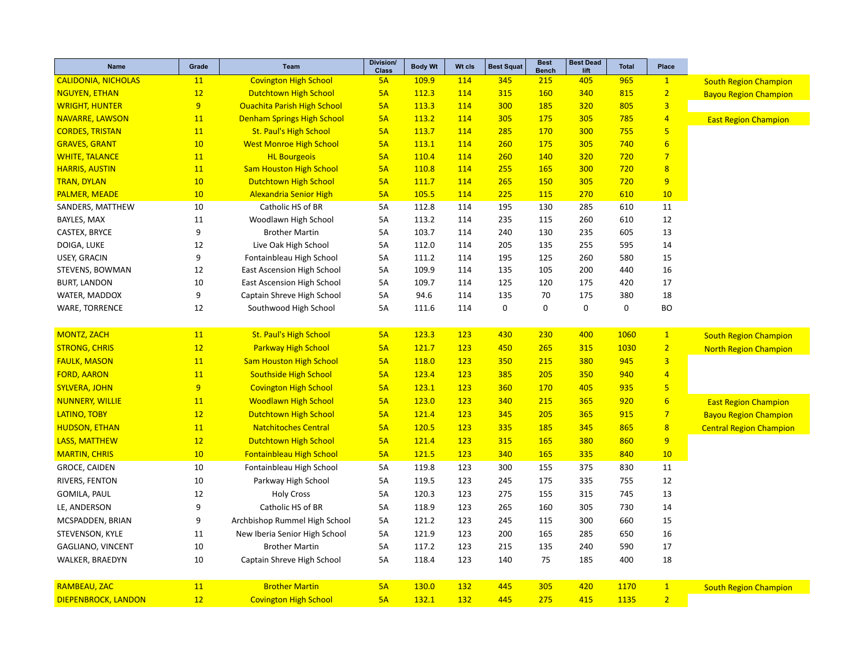| <b>CALIDONIA, NICHOLAS</b><br>11<br><b>Covington High School</b><br>5A<br>109.9<br>114<br>345<br>215<br>965<br>405<br>$\mathbf{1}$<br><b>South Region Champion</b><br>12<br>112.3<br>114<br>315<br>160<br>340<br>815<br>$\overline{2}$<br><b>NGUYEN, ETHAN</b><br><b>Dutchtown High School</b><br>5A<br><b>Bayou Region Champion</b><br>9<br>$\overline{3}$<br><b>Ouachita Parish High School</b><br>805<br><b>WRIGHT, HUNTER</b><br>5A<br>113.3<br>114<br>300<br>185<br>320<br><b>Denham Springs High School</b><br>175<br>785<br>$\overline{4}$<br><b>NAVARRE, LAWSON</b><br><b>11</b><br>5A<br>113.2<br>114<br>305<br>305<br><b>East Region Champion</b><br>5<br>11<br>300<br>755<br><b>CORDES, TRISTAN</b><br><b>St. Paul's High School</b><br>5A<br>113.7<br>114<br>285<br>170<br>$6\phantom{1}6$<br><b>GRAVES, GRANT</b><br>10<br>740<br><b>West Monroe High School</b><br>5A<br>113.1<br>114<br>260<br>175<br>305<br>$\overline{7}$<br><b>WHITE, TALANCE</b><br>11<br><b>HL Bourgeois</b><br>720<br>5A<br>110.4<br>114<br>260<br><b>140</b><br>320<br>$\overline{8}$<br><b>HARRIS, AUSTIN</b><br>11<br><b>Sam Houston High School</b><br>5A<br>114<br>255<br>300<br>720<br>110.8<br><b>165</b><br>9<br>10<br>720<br><b>TRAN, DYLAN</b><br><b>Dutchtown High School</b><br>5A<br>111.7<br>114<br>265<br><b>150</b><br>305<br>10<br><b>Alexandria Senior High</b><br>105.5<br>270<br>610<br><b>PALMER, MEADE</b><br>5A<br>114<br>225<br><b>115</b><br>10<br>10<br>Catholic HS of BR<br>112.8<br>195<br>130<br>285<br>610<br>11<br>SANDERS, MATTHEW<br>5A<br>114<br>12<br>BAYLES, MAX<br>11<br>Woodlawn High School<br>5A<br>113.2<br>114<br>235<br>115<br>260<br>610<br>9<br>13<br>CASTEX, BRYCE<br><b>Brother Martin</b><br>5A<br>103.7<br>114<br>240<br>130<br>235<br>605<br>12<br>Live Oak High School<br>135<br>255<br>595<br>14<br>DOIGA, LUKE<br>5A<br>112.0<br>114<br>205<br>9<br>15<br>USEY, GRACIN<br>Fontainbleau High School<br>5A<br>195<br>125<br>260<br>580<br>111.2<br>114<br>12<br>109.9<br>135<br>105<br>200<br>16<br>STEVENS, BOWMAN<br><b>East Ascension High School</b><br>5A<br>114<br>440<br><b>BURT, LANDON</b><br>10<br><b>East Ascension High School</b><br>109.7<br>114<br>125<br>120<br>175<br>420<br>17<br>5A | <b>Name</b> | Grade | <b>Team</b> | Division/<br><b>Class</b> | <b>Body Wt</b> | Wt cls | <b>Best Squat</b> | <b>Best</b><br><b>Bench</b> | <b>Best Dead</b><br>lift | <b>Total</b> | Place |  |
|------------------------------------------------------------------------------------------------------------------------------------------------------------------------------------------------------------------------------------------------------------------------------------------------------------------------------------------------------------------------------------------------------------------------------------------------------------------------------------------------------------------------------------------------------------------------------------------------------------------------------------------------------------------------------------------------------------------------------------------------------------------------------------------------------------------------------------------------------------------------------------------------------------------------------------------------------------------------------------------------------------------------------------------------------------------------------------------------------------------------------------------------------------------------------------------------------------------------------------------------------------------------------------------------------------------------------------------------------------------------------------------------------------------------------------------------------------------------------------------------------------------------------------------------------------------------------------------------------------------------------------------------------------------------------------------------------------------------------------------------------------------------------------------------------------------------------------------------------------------------------------------------------------------------------------------------------------------------------------------------------------------------------------------------------------------------------------------------------------------------------------------------------------------------------------------------------------------------------------------------|-------------|-------|-------------|---------------------------|----------------|--------|-------------------|-----------------------------|--------------------------|--------------|-------|--|
|                                                                                                                                                                                                                                                                                                                                                                                                                                                                                                                                                                                                                                                                                                                                                                                                                                                                                                                                                                                                                                                                                                                                                                                                                                                                                                                                                                                                                                                                                                                                                                                                                                                                                                                                                                                                                                                                                                                                                                                                                                                                                                                                                                                                                                                |             |       |             |                           |                |        |                   |                             |                          |              |       |  |
|                                                                                                                                                                                                                                                                                                                                                                                                                                                                                                                                                                                                                                                                                                                                                                                                                                                                                                                                                                                                                                                                                                                                                                                                                                                                                                                                                                                                                                                                                                                                                                                                                                                                                                                                                                                                                                                                                                                                                                                                                                                                                                                                                                                                                                                |             |       |             |                           |                |        |                   |                             |                          |              |       |  |
|                                                                                                                                                                                                                                                                                                                                                                                                                                                                                                                                                                                                                                                                                                                                                                                                                                                                                                                                                                                                                                                                                                                                                                                                                                                                                                                                                                                                                                                                                                                                                                                                                                                                                                                                                                                                                                                                                                                                                                                                                                                                                                                                                                                                                                                |             |       |             |                           |                |        |                   |                             |                          |              |       |  |
|                                                                                                                                                                                                                                                                                                                                                                                                                                                                                                                                                                                                                                                                                                                                                                                                                                                                                                                                                                                                                                                                                                                                                                                                                                                                                                                                                                                                                                                                                                                                                                                                                                                                                                                                                                                                                                                                                                                                                                                                                                                                                                                                                                                                                                                |             |       |             |                           |                |        |                   |                             |                          |              |       |  |
|                                                                                                                                                                                                                                                                                                                                                                                                                                                                                                                                                                                                                                                                                                                                                                                                                                                                                                                                                                                                                                                                                                                                                                                                                                                                                                                                                                                                                                                                                                                                                                                                                                                                                                                                                                                                                                                                                                                                                                                                                                                                                                                                                                                                                                                |             |       |             |                           |                |        |                   |                             |                          |              |       |  |
|                                                                                                                                                                                                                                                                                                                                                                                                                                                                                                                                                                                                                                                                                                                                                                                                                                                                                                                                                                                                                                                                                                                                                                                                                                                                                                                                                                                                                                                                                                                                                                                                                                                                                                                                                                                                                                                                                                                                                                                                                                                                                                                                                                                                                                                |             |       |             |                           |                |        |                   |                             |                          |              |       |  |
|                                                                                                                                                                                                                                                                                                                                                                                                                                                                                                                                                                                                                                                                                                                                                                                                                                                                                                                                                                                                                                                                                                                                                                                                                                                                                                                                                                                                                                                                                                                                                                                                                                                                                                                                                                                                                                                                                                                                                                                                                                                                                                                                                                                                                                                |             |       |             |                           |                |        |                   |                             |                          |              |       |  |
|                                                                                                                                                                                                                                                                                                                                                                                                                                                                                                                                                                                                                                                                                                                                                                                                                                                                                                                                                                                                                                                                                                                                                                                                                                                                                                                                                                                                                                                                                                                                                                                                                                                                                                                                                                                                                                                                                                                                                                                                                                                                                                                                                                                                                                                |             |       |             |                           |                |        |                   |                             |                          |              |       |  |
|                                                                                                                                                                                                                                                                                                                                                                                                                                                                                                                                                                                                                                                                                                                                                                                                                                                                                                                                                                                                                                                                                                                                                                                                                                                                                                                                                                                                                                                                                                                                                                                                                                                                                                                                                                                                                                                                                                                                                                                                                                                                                                                                                                                                                                                |             |       |             |                           |                |        |                   |                             |                          |              |       |  |
|                                                                                                                                                                                                                                                                                                                                                                                                                                                                                                                                                                                                                                                                                                                                                                                                                                                                                                                                                                                                                                                                                                                                                                                                                                                                                                                                                                                                                                                                                                                                                                                                                                                                                                                                                                                                                                                                                                                                                                                                                                                                                                                                                                                                                                                |             |       |             |                           |                |        |                   |                             |                          |              |       |  |
|                                                                                                                                                                                                                                                                                                                                                                                                                                                                                                                                                                                                                                                                                                                                                                                                                                                                                                                                                                                                                                                                                                                                                                                                                                                                                                                                                                                                                                                                                                                                                                                                                                                                                                                                                                                                                                                                                                                                                                                                                                                                                                                                                                                                                                                |             |       |             |                           |                |        |                   |                             |                          |              |       |  |
|                                                                                                                                                                                                                                                                                                                                                                                                                                                                                                                                                                                                                                                                                                                                                                                                                                                                                                                                                                                                                                                                                                                                                                                                                                                                                                                                                                                                                                                                                                                                                                                                                                                                                                                                                                                                                                                                                                                                                                                                                                                                                                                                                                                                                                                |             |       |             |                           |                |        |                   |                             |                          |              |       |  |
|                                                                                                                                                                                                                                                                                                                                                                                                                                                                                                                                                                                                                                                                                                                                                                                                                                                                                                                                                                                                                                                                                                                                                                                                                                                                                                                                                                                                                                                                                                                                                                                                                                                                                                                                                                                                                                                                                                                                                                                                                                                                                                                                                                                                                                                |             |       |             |                           |                |        |                   |                             |                          |              |       |  |
|                                                                                                                                                                                                                                                                                                                                                                                                                                                                                                                                                                                                                                                                                                                                                                                                                                                                                                                                                                                                                                                                                                                                                                                                                                                                                                                                                                                                                                                                                                                                                                                                                                                                                                                                                                                                                                                                                                                                                                                                                                                                                                                                                                                                                                                |             |       |             |                           |                |        |                   |                             |                          |              |       |  |
|                                                                                                                                                                                                                                                                                                                                                                                                                                                                                                                                                                                                                                                                                                                                                                                                                                                                                                                                                                                                                                                                                                                                                                                                                                                                                                                                                                                                                                                                                                                                                                                                                                                                                                                                                                                                                                                                                                                                                                                                                                                                                                                                                                                                                                                |             |       |             |                           |                |        |                   |                             |                          |              |       |  |
|                                                                                                                                                                                                                                                                                                                                                                                                                                                                                                                                                                                                                                                                                                                                                                                                                                                                                                                                                                                                                                                                                                                                                                                                                                                                                                                                                                                                                                                                                                                                                                                                                                                                                                                                                                                                                                                                                                                                                                                                                                                                                                                                                                                                                                                |             |       |             |                           |                |        |                   |                             |                          |              |       |  |
|                                                                                                                                                                                                                                                                                                                                                                                                                                                                                                                                                                                                                                                                                                                                                                                                                                                                                                                                                                                                                                                                                                                                                                                                                                                                                                                                                                                                                                                                                                                                                                                                                                                                                                                                                                                                                                                                                                                                                                                                                                                                                                                                                                                                                                                |             |       |             |                           |                |        |                   |                             |                          |              |       |  |
| 9<br>18<br>WATER, MADDOX<br>Captain Shreve High School<br>5A<br>94.6<br>114<br>135<br>70<br>175<br>380                                                                                                                                                                                                                                                                                                                                                                                                                                                                                                                                                                                                                                                                                                                                                                                                                                                                                                                                                                                                                                                                                                                                                                                                                                                                                                                                                                                                                                                                                                                                                                                                                                                                                                                                                                                                                                                                                                                                                                                                                                                                                                                                         |             |       |             |                           |                |        |                   |                             |                          |              |       |  |
| $\pmb{0}$<br>$\mathbf 0$<br>$\mathbf 0$<br>$\mathbf 0$<br><b>BO</b><br>12<br><b>WARE, TORRENCE</b><br>Southwood High School<br>5A<br>111.6<br>114                                                                                                                                                                                                                                                                                                                                                                                                                                                                                                                                                                                                                                                                                                                                                                                                                                                                                                                                                                                                                                                                                                                                                                                                                                                                                                                                                                                                                                                                                                                                                                                                                                                                                                                                                                                                                                                                                                                                                                                                                                                                                              |             |       |             |                           |                |        |                   |                             |                          |              |       |  |
|                                                                                                                                                                                                                                                                                                                                                                                                                                                                                                                                                                                                                                                                                                                                                                                                                                                                                                                                                                                                                                                                                                                                                                                                                                                                                                                                                                                                                                                                                                                                                                                                                                                                                                                                                                                                                                                                                                                                                                                                                                                                                                                                                                                                                                                |             |       |             |                           |                |        |                   |                             |                          |              |       |  |
| <b>St. Paul's High School</b><br><b>MONTZ, ZACH</b><br>11<br>5A<br>123.3<br>400<br>$\overline{1}$<br><b>123</b><br>430<br>230<br>1060<br><b>South Region Champion</b>                                                                                                                                                                                                                                                                                                                                                                                                                                                                                                                                                                                                                                                                                                                                                                                                                                                                                                                                                                                                                                                                                                                                                                                                                                                                                                                                                                                                                                                                                                                                                                                                                                                                                                                                                                                                                                                                                                                                                                                                                                                                          |             |       |             |                           |                |        |                   |                             |                          |              |       |  |
| 12<br>$\overline{2}$<br><b>STRONG, CHRIS</b><br><b>Parkway High School</b><br>5A<br>121.7<br>123<br>450<br>265<br>315<br>1030<br><b>North Region Champion</b>                                                                                                                                                                                                                                                                                                                                                                                                                                                                                                                                                                                                                                                                                                                                                                                                                                                                                                                                                                                                                                                                                                                                                                                                                                                                                                                                                                                                                                                                                                                                                                                                                                                                                                                                                                                                                                                                                                                                                                                                                                                                                  |             |       |             |                           |                |        |                   |                             |                          |              |       |  |
| $\overline{3}$<br>11<br><b>Sam Houston High School</b><br>380<br>945<br><b>FAULK, MASON</b><br>5A<br>118.0<br><b>123</b><br>350<br>215                                                                                                                                                                                                                                                                                                                                                                                                                                                                                                                                                                                                                                                                                                                                                                                                                                                                                                                                                                                                                                                                                                                                                                                                                                                                                                                                                                                                                                                                                                                                                                                                                                                                                                                                                                                                                                                                                                                                                                                                                                                                                                         |             |       |             |                           |                |        |                   |                             |                          |              |       |  |
| $\overline{4}$<br><b>Southside High School</b><br><b>FORD, AARON</b><br>11<br>5A<br>123.4<br>123<br>385<br>205<br>350<br>940                                                                                                                                                                                                                                                                                                                                                                                                                                                                                                                                                                                                                                                                                                                                                                                                                                                                                                                                                                                                                                                                                                                                                                                                                                                                                                                                                                                                                                                                                                                                                                                                                                                                                                                                                                                                                                                                                                                                                                                                                                                                                                                   |             |       |             |                           |                |        |                   |                             |                          |              |       |  |
| $\overline{5}$<br>9<br>123<br>935<br><b>SYLVERA, JOHN</b><br><b>Covington High School</b><br>5A<br>123.1<br>360<br>170<br>405                                                                                                                                                                                                                                                                                                                                                                                                                                                                                                                                                                                                                                                                                                                                                                                                                                                                                                                                                                                                                                                                                                                                                                                                                                                                                                                                                                                                                                                                                                                                                                                                                                                                                                                                                                                                                                                                                                                                                                                                                                                                                                                  |             |       |             |                           |                |        |                   |                             |                          |              |       |  |
| <b>Woodlawn High School</b><br>$6\phantom{1}6$<br><b>NUNNERY, WILLIE</b><br>11<br>5A<br>123.0<br>123<br>340<br>215<br>365<br>920<br><b>East Region Champion</b>                                                                                                                                                                                                                                                                                                                                                                                                                                                                                                                                                                                                                                                                                                                                                                                                                                                                                                                                                                                                                                                                                                                                                                                                                                                                                                                                                                                                                                                                                                                                                                                                                                                                                                                                                                                                                                                                                                                                                                                                                                                                                |             |       |             |                           |                |        |                   |                             |                          |              |       |  |
| 12<br><b>Dutchtown High School</b><br>205<br>915<br>$\overline{7}$<br>LATINO, TOBY<br>5A<br>121.4<br>123<br>345<br>365<br><b>Bayou Region Champion</b>                                                                                                                                                                                                                                                                                                                                                                                                                                                                                                                                                                                                                                                                                                                                                                                                                                                                                                                                                                                                                                                                                                                                                                                                                                                                                                                                                                                                                                                                                                                                                                                                                                                                                                                                                                                                                                                                                                                                                                                                                                                                                         |             |       |             |                           |                |        |                   |                             |                          |              |       |  |
| 11<br>$\overline{8}$<br><b>Natchitoches Central</b><br>5A<br>120.5<br>123<br>335<br>185<br>345<br>865<br><b>HUDSON, ETHAN</b><br><b>Central Region Champion</b>                                                                                                                                                                                                                                                                                                                                                                                                                                                                                                                                                                                                                                                                                                                                                                                                                                                                                                                                                                                                                                                                                                                                                                                                                                                                                                                                                                                                                                                                                                                                                                                                                                                                                                                                                                                                                                                                                                                                                                                                                                                                                |             |       |             |                           |                |        |                   |                             |                          |              |       |  |
| 9<br>12<br><b>Dutchtown High School</b><br><b>LASS, MATTHEW</b><br>5A<br>121.4<br>123<br>315<br>165<br>380<br>860                                                                                                                                                                                                                                                                                                                                                                                                                                                                                                                                                                                                                                                                                                                                                                                                                                                                                                                                                                                                                                                                                                                                                                                                                                                                                                                                                                                                                                                                                                                                                                                                                                                                                                                                                                                                                                                                                                                                                                                                                                                                                                                              |             |       |             |                           |                |        |                   |                             |                          |              |       |  |
| 10<br><b>MARTIN, CHRIS</b><br><b>Fontainbleau High School</b><br>5A<br>121.5<br>123<br>340<br>165<br>335<br>840<br>10                                                                                                                                                                                                                                                                                                                                                                                                                                                                                                                                                                                                                                                                                                                                                                                                                                                                                                                                                                                                                                                                                                                                                                                                                                                                                                                                                                                                                                                                                                                                                                                                                                                                                                                                                                                                                                                                                                                                                                                                                                                                                                                          |             |       |             |                           |                |        |                   |                             |                          |              |       |  |
| GROCE, CAIDEN<br>10<br>Fontainbleau High School<br>5A<br>119.8<br>123<br>300<br>155<br>375<br>830<br>11                                                                                                                                                                                                                                                                                                                                                                                                                                                                                                                                                                                                                                                                                                                                                                                                                                                                                                                                                                                                                                                                                                                                                                                                                                                                                                                                                                                                                                                                                                                                                                                                                                                                                                                                                                                                                                                                                                                                                                                                                                                                                                                                        |             |       |             |                           |                |        |                   |                             |                          |              |       |  |
| 10<br>Parkway High School<br>12<br>RIVERS, FENTON<br>5A<br>119.5<br>123<br>245<br>175<br>335<br>755                                                                                                                                                                                                                                                                                                                                                                                                                                                                                                                                                                                                                                                                                                                                                                                                                                                                                                                                                                                                                                                                                                                                                                                                                                                                                                                                                                                                                                                                                                                                                                                                                                                                                                                                                                                                                                                                                                                                                                                                                                                                                                                                            |             |       |             |                           |                |        |                   |                             |                          |              |       |  |
| 13<br>GOMILA, PAUL<br>12<br><b>Holy Cross</b><br>5A<br>120.3<br>123<br>275<br>155<br>315<br>745                                                                                                                                                                                                                                                                                                                                                                                                                                                                                                                                                                                                                                                                                                                                                                                                                                                                                                                                                                                                                                                                                                                                                                                                                                                                                                                                                                                                                                                                                                                                                                                                                                                                                                                                                                                                                                                                                                                                                                                                                                                                                                                                                |             |       |             |                           |                |        |                   |                             |                          |              |       |  |
| 9<br>Catholic HS of BR<br>118.9<br>123<br>160<br>305<br>730<br>14<br>LE, ANDERSON<br>5A<br>265                                                                                                                                                                                                                                                                                                                                                                                                                                                                                                                                                                                                                                                                                                                                                                                                                                                                                                                                                                                                                                                                                                                                                                                                                                                                                                                                                                                                                                                                                                                                                                                                                                                                                                                                                                                                                                                                                                                                                                                                                                                                                                                                                 |             |       |             |                           |                |        |                   |                             |                          |              |       |  |
| 9<br>123<br>245<br>300<br>15<br>MCSPADDEN, BRIAN<br>Archbishop Rummel High School<br>5A<br>121.2<br>115<br>660                                                                                                                                                                                                                                                                                                                                                                                                                                                                                                                                                                                                                                                                                                                                                                                                                                                                                                                                                                                                                                                                                                                                                                                                                                                                                                                                                                                                                                                                                                                                                                                                                                                                                                                                                                                                                                                                                                                                                                                                                                                                                                                                 |             |       |             |                           |                |        |                   |                             |                          |              |       |  |
| STEVENSON, KYLE<br>11<br>New Iberia Senior High School<br>121.9<br>16<br>5A<br>123<br>200<br>165<br>285<br>650                                                                                                                                                                                                                                                                                                                                                                                                                                                                                                                                                                                                                                                                                                                                                                                                                                                                                                                                                                                                                                                                                                                                                                                                                                                                                                                                                                                                                                                                                                                                                                                                                                                                                                                                                                                                                                                                                                                                                                                                                                                                                                                                 |             |       |             |                           |                |        |                   |                             |                          |              |       |  |
| 10<br>17<br>GAGLIANO, VINCENT<br><b>Brother Martin</b><br>5A<br>117.2<br>123<br>215<br>135<br>240<br>590                                                                                                                                                                                                                                                                                                                                                                                                                                                                                                                                                                                                                                                                                                                                                                                                                                                                                                                                                                                                                                                                                                                                                                                                                                                                                                                                                                                                                                                                                                                                                                                                                                                                                                                                                                                                                                                                                                                                                                                                                                                                                                                                       |             |       |             |                           |                |        |                   |                             |                          |              |       |  |
| 10<br>Captain Shreve High School<br>118.4<br>123<br>75<br>185<br>400<br>18<br>WALKER, BRAEDYN<br>5A<br>140                                                                                                                                                                                                                                                                                                                                                                                                                                                                                                                                                                                                                                                                                                                                                                                                                                                                                                                                                                                                                                                                                                                                                                                                                                                                                                                                                                                                                                                                                                                                                                                                                                                                                                                                                                                                                                                                                                                                                                                                                                                                                                                                     |             |       |             |                           |                |        |                   |                             |                          |              |       |  |
|                                                                                                                                                                                                                                                                                                                                                                                                                                                                                                                                                                                                                                                                                                                                                                                                                                                                                                                                                                                                                                                                                                                                                                                                                                                                                                                                                                                                                                                                                                                                                                                                                                                                                                                                                                                                                                                                                                                                                                                                                                                                                                                                                                                                                                                |             |       |             |                           |                |        |                   |                             |                          |              |       |  |
| <b>Brother Martin</b><br><b>RAMBEAU, ZAC</b><br>11<br>5A<br>130.0<br>132<br>445<br>305<br>420<br>1170<br>$\mathbf{1}$<br><b>South Region Champion</b>                                                                                                                                                                                                                                                                                                                                                                                                                                                                                                                                                                                                                                                                                                                                                                                                                                                                                                                                                                                                                                                                                                                                                                                                                                                                                                                                                                                                                                                                                                                                                                                                                                                                                                                                                                                                                                                                                                                                                                                                                                                                                          |             |       |             |                           |                |        |                   |                             |                          |              |       |  |
| 2 <sup>2</sup><br>12<br>5A<br><b>DIEPENBROCK, LANDON</b><br><b>Covington High School</b><br>132.1<br>132<br>445<br>275<br>415<br>1135                                                                                                                                                                                                                                                                                                                                                                                                                                                                                                                                                                                                                                                                                                                                                                                                                                                                                                                                                                                                                                                                                                                                                                                                                                                                                                                                                                                                                                                                                                                                                                                                                                                                                                                                                                                                                                                                                                                                                                                                                                                                                                          |             |       |             |                           |                |        |                   |                             |                          |              |       |  |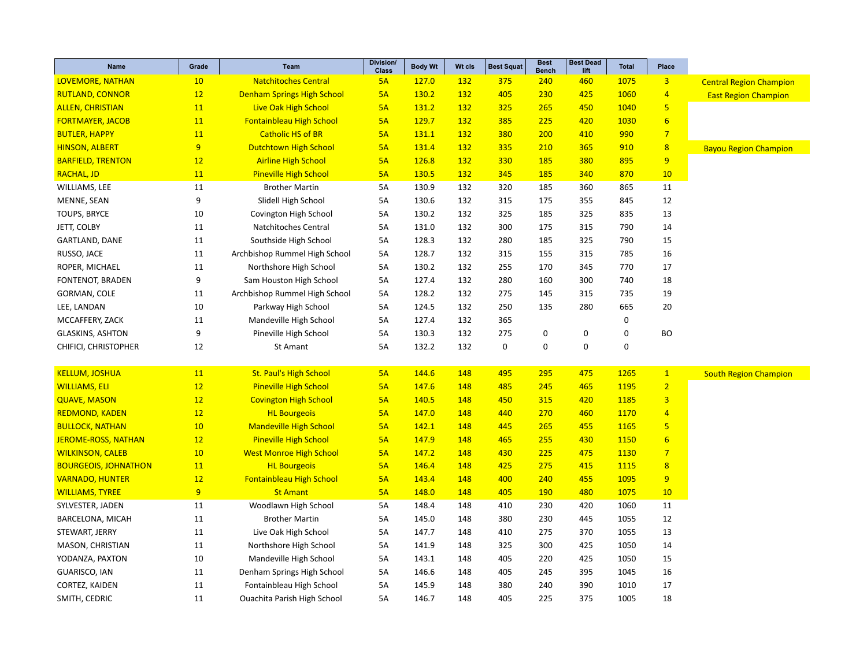| Name                        | Grade | <b>Team</b>                        | Division/<br><b>Class</b> | <b>Body Wt</b> | Wt cls | <b>Best Squat</b> | <b>Best</b><br><b>Bench</b> | <b>Best Dead</b><br>lift | <b>Total</b> | Place                   |                                |
|-----------------------------|-------|------------------------------------|---------------------------|----------------|--------|-------------------|-----------------------------|--------------------------|--------------|-------------------------|--------------------------------|
| <b>LOVEMORE, NATHAN</b>     | 10    | <b>Natchitoches Central</b>        | 5A                        | 127.0          | 132    | 375               | 240                         | 460                      | 1075         | $\overline{\mathbf{3}}$ | <b>Central Region Champion</b> |
| <b>RUTLAND, CONNOR</b>      | 12    | <b>Denham Springs High School</b>  | 5A                        | 130.2          | 132    | 405               | 230                         | 425                      | 1060         | $\overline{4}$          | <b>East Region Champion</b>    |
| <b>ALLEN, CHRISTIAN</b>     | 11    | <b>Live Oak High School</b>        | 5A                        | 131.2          | 132    | 325               | 265                         | 450                      | 1040         | $\overline{\mathbf{5}}$ |                                |
| <b>FORTMAYER, JACOB</b>     | 11    | <b>Fontainbleau High School</b>    | 5A                        | 129.7          | 132    | 385               | 225                         | 420                      | 1030         | $6 \overline{}$         |                                |
| <b>BUTLER, HAPPY</b>        | 11    | <b>Catholic HS of BR</b>           | 5A                        | 131.1          | 132    | 380               | 200                         | 410                      | 990          | $\overline{7}$          |                                |
| <b>HINSON, ALBERT</b>       | 9     | <b>Dutchtown High School</b>       | 5A                        | 131.4          | 132    | 335               | 210                         | 365                      | 910          | $\overline{\mathbf{8}}$ | <b>Bayou Region Champion</b>   |
| <b>BARFIELD, TRENTON</b>    | 12    | <b>Airline High School</b>         | 5A                        | 126.8          | 132    | 330               | 185                         | 380                      | 895          | 9                       |                                |
| <b>RACHAL, JD</b>           | 11    | <b>Pineville High School</b>       | 5A                        | 130.5          | 132    | 345               | 185                         | 340                      | 870          | 10                      |                                |
| WILLIAMS, LEE               | 11    | <b>Brother Martin</b>              | 5A                        | 130.9          | 132    | 320               | 185                         | 360                      | 865          | 11                      |                                |
| MENNE, SEAN                 | 9     | Slidell High School                | 5A                        | 130.6          | 132    | 315               | 175                         | 355                      | 845          | 12                      |                                |
| TOUPS, BRYCE                | 10    | Covington High School              | 5A                        | 130.2          | 132    | 325               | 185                         | 325                      | 835          | 13                      |                                |
| JETT, COLBY                 | 11    | Natchitoches Central               | 5A                        | 131.0          | 132    | 300               | 175                         | 315                      | 790          | 14                      |                                |
| GARTLAND, DANE              | 11    | Southside High School              | 5A                        | 128.3          | 132    | 280               | 185                         | 325                      | 790          | 15                      |                                |
| RUSSO, JACE                 | 11    | Archbishop Rummel High School      | 5A                        | 128.7          | 132    | 315               | 155                         | 315                      | 785          | 16                      |                                |
| ROPER, MICHAEL              | 11    | Northshore High School             | 5A                        | 130.2          | 132    | 255               | 170                         | 345                      | 770          | 17                      |                                |
| FONTENOT, BRADEN            | 9     | Sam Houston High School            | 5A                        | 127.4          | 132    | 280               | 160                         | 300                      | 740          | 18                      |                                |
| GORMAN, COLE                | 11    | Archbishop Rummel High School      | 5A                        | 128.2          | 132    | 275               | 145                         | 315                      | 735          | 19                      |                                |
| LEE, LANDAN                 | 10    | Parkway High School                | 5A                        | 124.5          | 132    | 250               | 135                         | 280                      | 665          | 20                      |                                |
| MCCAFFERY, ZACK             | 11    | Mandeville High School             | 5A                        | 127.4          | 132    | 365               |                             |                          | $\mathbf 0$  |                         |                                |
| <b>GLASKINS, ASHTON</b>     | 9     | Pineville High School              | 5A                        | 130.3          | 132    | 275               | 0                           | $\mathbf 0$              | $\mathbf 0$  | <b>BO</b>               |                                |
| CHIFICI, CHRISTOPHER        | 12    | St Amant                           | 5A                        | 132.2          | 132    | $\pmb{0}$         | $\mathbf 0$                 | $\mathbf 0$              | $\mathbf 0$  |                         |                                |
| <b>KELLUM, JOSHUA</b>       | 11    | <b>St. Paul's High School</b>      | 5A                        | 144.6          | 148    | 495               | 295                         | 475                      | 1265         | $\mathbf{1}$            | <b>South Region Champion</b>   |
| <b>WILLIAMS, ELI</b>        | 12    | <b>Pineville High School</b>       | 5A                        | 147.6          | 148    | 485               | 245                         | 465                      | 1195         | $\overline{2}$          |                                |
| <b>QUAVE, MASON</b>         | 12    | <b>Covington High School</b>       | 5A                        | 140.5          | 148    | 450               | 315                         | 420                      | 1185         | $\overline{3}$          |                                |
| <b>REDMOND, KADEN</b>       | 12    | <b>HL Bourgeois</b>                | 5A                        | 147.0          | 148    | 440               | 270                         | 460                      | 1170         | $\overline{4}$          |                                |
| <b>BULLOCK, NATHAN</b>      | 10    | <b>Mandeville High School</b>      | 5A                        | 142.1          | 148    | 445               | 265                         | 455                      | 1165         | $\overline{5}$          |                                |
| <b>JEROME-ROSS, NATHAN</b>  | 12    | <b>Pineville High School</b>       | 5A                        | 147.9          | 148    | 465               | 255                         | 430                      | 1150         | $6\overline{6}$         |                                |
| <b>WILKINSON, CALEB</b>     | 10    | <b>West Monroe High School</b>     | 5A                        | 147.2          | 148    | 430               | 225                         | 475                      | 1130         | $\overline{7}$          |                                |
| <b>BOURGEOIS, JOHNATHON</b> | 11    | <b>HL Bourgeois</b>                | 5A                        | 146.4          | 148    | 425               | 275                         | 415                      | 1115         | 8                       |                                |
| <b>VARNADO, HUNTER</b>      | 12    | Fontainbleau High School           | 5A                        | 143.4          | 148    | 400               | 240                         | 455                      | 1095         | 9                       |                                |
| <b>WILLIAMS, TYREE</b>      | 9     | <b>St Amant</b>                    | 5A                        | 148.0          | 148    | 405               | <b>190</b>                  | 480                      | 1075         | 10                      |                                |
| SYLVESTER, JADEN            | 11    | Woodlawn High School               | 5A                        | 148.4          | 148    | 410               | 230                         | 420                      | 1060         | 11                      |                                |
| BARCELONA, MICAH            | 11    | <b>Brother Martin</b>              | 5A                        | 145.0          | 148    | 380               | 230                         | 445                      | 1055         | 12                      |                                |
| STEWART, JERRY              | 11    | Live Oak High School               | 5A                        | 147.7          | 148    | 410               | 275                         | 370                      | 1055         | 13                      |                                |
| MASON, CHRISTIAN            | 11    | Northshore High School             | 5A                        | 141.9          | 148    | 325               | 300                         | 425                      | 1050         | 14                      |                                |
| YODANZA, PAXTON             | 10    | Mandeville High School             | 5A                        | 143.1          | 148    | 405               | 220                         | 425                      | 1050         | 15                      |                                |
| GUARISCO, IAN               | 11    | Denham Springs High School         | 5A                        | 146.6          | 148    | 405               | 245                         | 395                      | 1045         | 16                      |                                |
| CORTEZ, KAIDEN              | 11    | Fontainbleau High School           | 5A                        | 145.9          | 148    | 380               | 240                         | 390                      | 1010         | 17                      |                                |
| SMITH, CEDRIC               | 11    | <b>Ouachita Parish High School</b> | 5A                        | 146.7          | 148    | 405               | 225                         | 375                      | 1005         | 18                      |                                |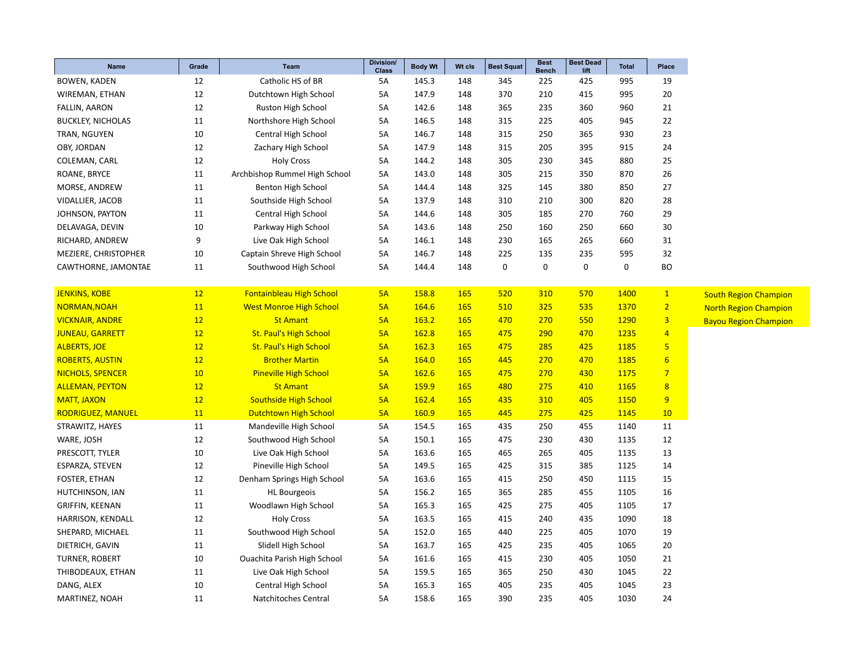| <b>Name</b>              | Grade | <b>Team</b>                    | <b>Division/</b><br><b>Class</b> | <b>Body Wt</b> | Wt cls     | <b>Best Squat</b> | <b>Best</b><br><b>Bench</b> | <b>Best Dead</b><br>lift | <b>Total</b> | Place           |
|--------------------------|-------|--------------------------------|----------------------------------|----------------|------------|-------------------|-----------------------------|--------------------------|--------------|-----------------|
| <b>BOWEN, KADEN</b>      | 12    | Catholic HS of BR              | 5A                               | 145.3          | 148        | 345               | 225                         | 425                      | 995          | 19              |
| WIREMAN, ETHAN           | 12    | Dutchtown High School          | 5A                               | 147.9          | 148        | 370               | 210                         | 415                      | 995          | 20              |
| <b>FALLIN, AARON</b>     | 12    | Ruston High School             | <b>5A</b>                        | 142.6          | 148        | 365               | 235                         | 360                      | 960          | 21              |
| <b>BUCKLEY, NICHOLAS</b> | 11    | Northshore High School         | 5A                               | 146.5          | 148        | 315               | 225                         | 405                      | 945          | 22              |
| TRAN, NGUYEN             | 10    | Central High School            | 5A                               | 146.7          | 148        | 315               | 250                         | 365                      | 930          | 23              |
| OBY, JORDAN              | 12    | Zachary High School            | 5A                               | 147.9          | 148        | 315               | 205                         | 395                      | 915          | 24              |
| COLEMAN, CARL            | 12    | <b>Holy Cross</b>              | 5A                               | 144.2          | 148        | 305               | 230                         | 345                      | 880          | 25              |
| ROANE, BRYCE             | 11    | Archbishop Rummel High School  | 5A                               | 143.0          | 148        | 305               | 215                         | 350                      | 870          | 26              |
| MORSE, ANDREW            | 11    | Benton High School             | 5A                               | 144.4          | 148        | 325               | 145                         | 380                      | 850          | 27              |
| VIDALLIER, JACOB         | 11    | Southside High School          | 5A                               | 137.9          | 148        | 310               | 210                         | 300                      | 820          | 28              |
| JOHNSON, PAYTON          | 11    | Central High School            | 5A                               | 144.6          | 148        | 305               | 185                         | 270                      | 760          | 29              |
| DELAVAGA, DEVIN          | 10    | Parkway High School            | 5A                               | 143.6          | 148        | 250               | 160                         | 250                      | 660          | 30              |
| RICHARD, ANDREW          | 9     | Live Oak High School           | 5A                               | 146.1          | 148        | 230               | 165                         | 265                      | 660          | 31              |
| MEZIERE, CHRISTOPHER     | 10    | Captain Shreve High School     | 5A                               | 146.7          | 148        | 225               | 135                         | 235                      | 595          | 32              |
| CAWTHORNE, JAMONTAE      | 11    | Southwood High School          | 5A                               | 144.4          | 148        | 0                 | $\mathbf 0$                 | 0                        | $\mathbf 0$  | <b>BO</b>       |
|                          |       |                                |                                  |                |            |                   |                             |                          |              |                 |
| <b>JENKINS, KOBE</b>     | 12    | Fontainbleau High School       | 5A                               | 158.8          | 165        | 520               | 310                         | 570                      | 1400         | $\mathbf{1}$    |
| NORMAN, NOAH             | 11    | <b>West Monroe High School</b> | 5A                               | 164.6          | 165        | 510               | 325                         | 535                      | 1370         | $\overline{2}$  |
| <b>VICKNAIR, ANDRE</b>   | 12    | <b>St Amant</b>                | 5A                               | 163.2          | 165        | 470               | 270                         | 550                      | 1290         | $\overline{3}$  |
| <b>JUNEAU, GARRETT</b>   | 12    | <b>St. Paul's High School</b>  | 5A                               | 162.8          | 165        | 475               | 290                         | 470                      | 1235         | $\overline{4}$  |
| <b>ALBERTS, JOE</b>      | 12    | <b>St. Paul's High School</b>  | 5A                               | 162.3          | <b>165</b> | 475               | 285                         | 425                      | 1185         | $5\phantom{.0}$ |
| <b>ROBERTS, AUSTIN</b>   | 12    | <b>Brother Martin</b>          | 5A                               | 164.0          | 165        | 445               | 270                         | 470                      | 1185         | $6\overline{6}$ |
| <b>NICHOLS, SPENCER</b>  | 10    | <b>Pineville High School</b>   | 5A                               | 162.6          | 165        | 475               | 270                         | 430                      | 1175         | $\overline{7}$  |
| <b>ALLEMAN, PEYTON</b>   | 12    | <b>St Amant</b>                | 5A                               | <b>159.9</b>   | 165        | 480               | 275                         | 410                      | 1165         | 8               |
| <b>MATT, JAXON</b>       | 12    | <b>Southside High School</b>   | 5A                               | 162.4          | 165        | 435               | 310                         | 405                      | 1150         | 9               |
| <b>RODRIGUEZ, MANUEL</b> | 11    | <b>Dutchtown High School</b>   | 5A                               | 160.9          | <b>165</b> | 445               | 275                         | 425                      | 1145         | 10              |
| STRAWITZ, HAYES          | 11    | Mandeville High School         | 5A                               | 154.5          | 165        | 435               | 250                         | 455                      | 1140         | 11              |
| WARE, JOSH               | 12    | Southwood High School          | 5A                               | 150.1          | 165        | 475               | 230                         | 430                      | 1135         | 12              |
| PRESCOTT, TYLER          | 10    | Live Oak High School           | 5A                               | 163.6          | 165        | 465               | 265                         | 405                      | 1135         | 13              |
| ESPARZA, STEVEN          | 12    | Pineville High School          | 5A                               | 149.5          | 165        | 425               | 315                         | 385                      | 1125         | 14              |
| FOSTER, ETHAN            | 12    | Denham Springs High School     | 5A                               | 163.6          | 165        | 415               | 250                         | 450                      | 1115         | 15              |
| HUTCHINSON, IAN          | 11    | <b>HL Bourgeois</b>            | 5А                               | 156.2          | 165        | 365               | 285                         | 455                      | 1105         | 16              |
| GRIFFIN, KEENAN          | 11    | Woodlawn High School           | 5А                               | 165.3          | 165        | 425               | 275                         | 405                      | 1105         | 17              |
| HARRISON, KENDALL        | 12    | <b>Holy Cross</b>              | 5A                               | 163.5          | 165        | 415               | 240                         | 435                      | 1090         | 18              |
| SHEPARD, MICHAEL         | 11    | Southwood High School          | <b>5A</b>                        | 152.0          | 165        | 440               | 225                         | 405                      | 1070         | 19              |
| DIETRICH, GAVIN          | 11    | Slidell High School            | 5A                               | 163.7          | 165        | 425               | 235                         | 405                      | 1065         | 20              |
| TURNER, ROBERT           | 10    | Ouachita Parish High School    | 5A                               | 161.6          | 165        | 415               | 230                         | 405                      | 1050         | 21              |
| THIBODEAUX, ETHAN        | 11    | Live Oak High School           | 5A                               | 159.5          | 165        | 365               | 250                         | 430                      | 1045         | 22              |
| DANG, ALEX               | 10    | Central High School            | 5A                               | 165.3          | 165        | 405               | 235                         | 405                      | 1045         | 23              |
| MARTINEZ, NOAH           | 11    | Natchitoches Central           | 5A                               | 158.6          | 165        | 390               | 235                         | 405                      | 1030         | 24              |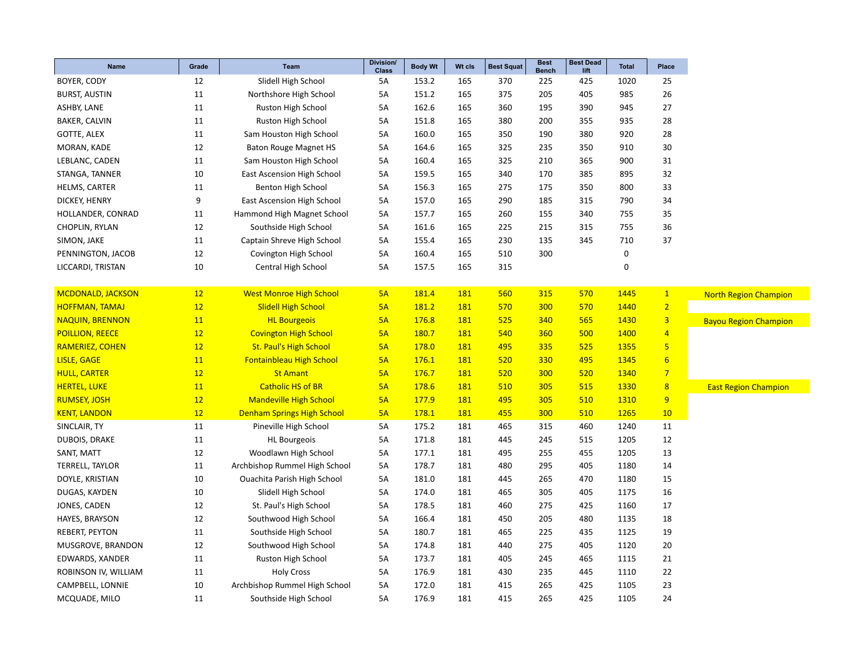| <b>Name</b>              | Grade | <b>Team</b>                       | Division/<br><b>Class</b> | <b>Body Wt</b> | Wt cls     | <b>Best Squat</b> | <b>Best</b><br><b>Bench</b> | <b>Best Dead</b><br>lift | <b>Total</b> | Place          |
|--------------------------|-------|-----------------------------------|---------------------------|----------------|------------|-------------------|-----------------------------|--------------------------|--------------|----------------|
| BOYER, CODY              | 12    | Slidell High School               | 5A                        | 153.2          | 165        | 370               | 225                         | 425                      | 1020         | 25             |
| <b>BURST, AUSTIN</b>     | 11    | Northshore High School            | 5A                        | 151.2          | 165        | 375               | 205                         | 405                      | 985          | 26             |
| ASHBY, LANE              | 11    | Ruston High School                | 5A                        | 162.6          | 165        | 360               | 195                         | 390                      | 945          | 27             |
| <b>BAKER, CALVIN</b>     | 11    | Ruston High School                | 5A                        | 151.8          | 165        | 380               | 200                         | 355                      | 935          | 28             |
| <b>GOTTE, ALEX</b>       | 11    | Sam Houston High School           | 5A                        | 160.0          | 165        | 350               | 190                         | 380                      | 920          | 28             |
| MORAN, KADE              | 12    | <b>Baton Rouge Magnet HS</b>      | 5A                        | 164.6          | 165        | 325               | 235                         | 350                      | 910          | 30             |
| LEBLANC, CADEN           | 11    | Sam Houston High School           | 5А                        | 160.4          | 165        | 325               | 210                         | 365                      | 900          | 31             |
| STANGA, TANNER           | 10    | East Ascension High School        | 5А                        | 159.5          | 165        | 340               | 170                         | 385                      | 895          | 32             |
| HELMS, CARTER            | 11    | <b>Benton High School</b>         | 5A                        | 156.3          | 165        | 275               | 175                         | 350                      | 800          | 33             |
| DICKEY, HENRY            | 9     | <b>East Ascension High School</b> | 5A                        | 157.0          | 165        | 290               | 185                         | 315                      | 790          | 34             |
| HOLLANDER, CONRAD        | 11    | Hammond High Magnet School        | 5А                        | 157.7          | 165        | 260               | 155                         | 340                      | 755          | 35             |
| CHOPLIN, RYLAN           | 12    | Southside High School             | 5A                        | 161.6          | 165        | 225               | 215                         | 315                      | 755          | 36             |
| SIMON, JAKE              | 11    | Captain Shreve High School        | 5A                        | 155.4          | 165        | 230               | 135                         | 345                      | 710          | 37             |
| PENNINGTON, JACOB        | 12    | Covington High School             | 5A                        | 160.4          | 165        | 510               | 300                         |                          | 0            |                |
| LICCARDI, TRISTAN        | 10    | Central High School               | 5A                        | 157.5          | 165        | 315               |                             |                          | $\mathbf 0$  |                |
|                          |       |                                   |                           |                |            |                   |                             |                          |              |                |
| <b>MCDONALD, JACKSON</b> | 12    | <b>West Monroe High School</b>    | 5A                        | 181.4          | 181        | 560               | 315                         | 570                      | 1445         | $\mathbf{1}$   |
| <b>HOFFMAN, TAMAJ</b>    | 12    | <b>Slidell High School</b>        | 5A                        | 181.2          | 181        | 570               | 300                         | 570                      | 1440         | $\overline{2}$ |
| <b>NAQUIN, BRENNON</b>   | 11    | <b>HL Bourgeois</b>               | 5A                        | 176.8          | <b>181</b> | 525               | 340                         | 565                      | 1430         | $\overline{3}$ |
| <b>POILLION, REECE</b>   | 12    | <b>Covington High School</b>      | 5A                        | 180.7          | 181        | 540               | 360                         | 500                      | 1400         | $\overline{4}$ |
| <b>RAMERIEZ, COHEN</b>   | 12    | <b>St. Paul's High School</b>     | 5A                        | 178.0          | <b>181</b> | 495               | 335                         | 525                      | 1355         | 5 <sub>5</sub> |
| <b>LISLE, GAGE</b>       | 11    | <b>Fontainbleau High School</b>   | 5A                        | 176.1          | <b>181</b> | 520               | 330                         | 495                      | 1345         | 6              |
| <b>HULL, CARTER</b>      | 12    | <b>St Amant</b>                   | 5A                        | 176.7          | <b>181</b> | 520               | 300                         | 520                      | 1340         | $\overline{7}$ |
| <b>HERTEL, LUKE</b>      | 11    | <b>Catholic HS of BR</b>          | 5A                        | 178.6          | 181        | 510               | 305                         | 515                      | 1330         | 8              |
| <b>RUMSEY, JOSH</b>      | 12    | <b>Mandeville High School</b>     | 5A                        | 177.9          | 181        | 495               | 305                         | 510                      | 1310         | 9              |
| <b>KENT, LANDON</b>      | 12    | <b>Denham Springs High School</b> | 5A                        | 178.1          | 181        | 455               | 300                         | 510                      | 1265         | 10             |
| SINCLAIR, TY             | 11    | Pineville High School             | 5A                        | 175.2          | 181        | 465               | 315                         | 460                      | 1240         | 11             |
| DUBOIS, DRAKE            | 11    | <b>HL Bourgeois</b>               | 5A                        | 171.8          | 181        | 445               | 245                         | 515                      | 1205         | 12             |
| SANT, MATT               | 12    | Woodlawn High School              | 5A                        | 177.1          | 181        | 495               | 255                         | 455                      | 1205         | 13             |
| TERRELL, TAYLOR          | 11    | Archbishop Rummel High School     | 5A                        | 178.7          | 181        | 480               | 295                         | 405                      | 1180         | 14             |
| DOYLE, KRISTIAN          | 10    | Ouachita Parish High School       | 5А                        | 181.0          | 181        | 445               | 265                         | 470                      | 1180         | 15             |
| DUGAS, KAYDEN            | 10    | Slidell High School               | 5A                        | 174.0          | 181        | 465               | 305                         | 405                      | 1175         | 16             |
| JONES, CADEN             | 12    | St. Paul's High School            | 5A                        | 178.5          | 181        | 460               | 275                         | 425                      | 1160         | 17             |
| HAYES, BRAYSON           | 12    | Southwood High School             | 5A                        | 166.4          | 181        | 450               | 205                         | 480                      | 1135         | 18             |
| <b>REBERT, PEYTON</b>    | 11    | Southside High School             | 5А                        | 180.7          | 181        | 465               | 225                         | 435                      | 1125         | 19             |
| MUSGROVE, BRANDON        | 12    | Southwood High School             | 5A                        | 174.8          | 181        | 440               | 275                         | 405                      | 1120         | 20             |
| EDWARDS, XANDER          | 11    | Ruston High School                | 5A                        | 173.7          | 181        | 405               | 245                         | 465                      | 1115         | 21             |
| ROBINSON IV, WILLIAM     | 11    | <b>Holy Cross</b>                 | 5A                        | 176.9          | 181        | 430               | 235                         | 445                      | 1110         | 22             |
| CAMPBELL, LONNIE         | 10    | Archbishop Rummel High School     | 5A                        | 172.0          | 181        | 415               | 265                         | 425                      | 1105         | 23             |
| MCQUADE, MILO            | 11    | Southside High School             | 5A                        | 176.9          | 181        | 415               | 265                         | 425                      | 1105         | 24             |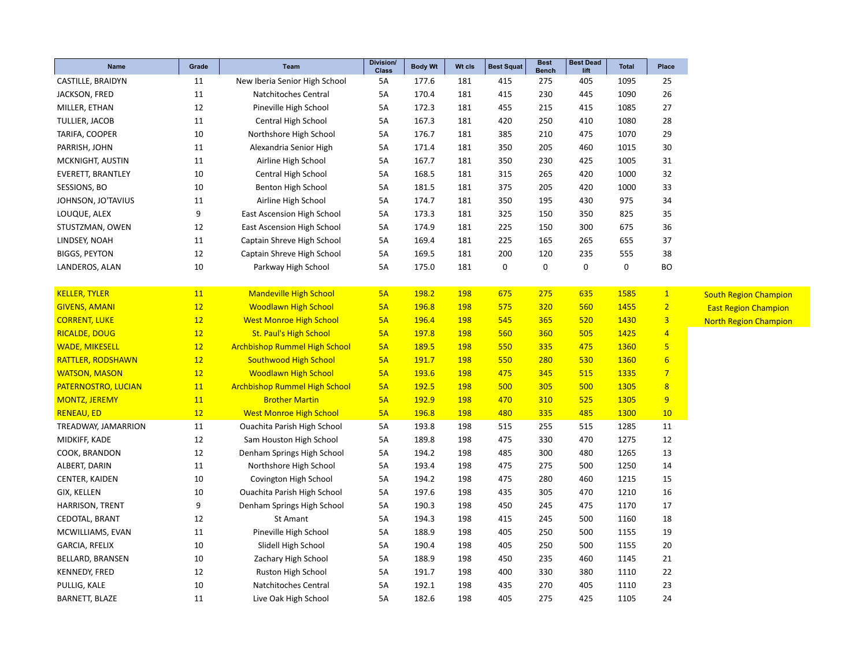| Name                     | Grade     | <b>Team</b>                          | Division/<br><b>Class</b> | <b>Body Wt</b> | Wt cls     | <b>Best Squat</b> | <b>Best</b><br><b>Bench</b> | <b>Best Dead</b><br>lift | <b>Total</b> | Place            |                              |
|--------------------------|-----------|--------------------------------------|---------------------------|----------------|------------|-------------------|-----------------------------|--------------------------|--------------|------------------|------------------------------|
| CASTILLE, BRAIDYN        | 11        | New Iberia Senior High School        | 5A                        | 177.6          | 181        | 415               | 275                         | 405                      | 1095         | 25               |                              |
| JACKSON, FRED            | 11        | Natchitoches Central                 | 5A                        | 170.4          | 181        | 415               | 230                         | 445                      | 1090         | 26               |                              |
| MILLER, ETHAN            | 12        | Pineville High School                | 5A                        | 172.3          | 181        | 455               | 215                         | 415                      | 1085         | 27               |                              |
| TULLIER, JACOB           | 11        | Central High School                  | 5А                        | 167.3          | 181        | 420               | 250                         | 410                      | 1080         | 28               |                              |
| TARIFA, COOPER           | 10        | Northshore High School               | 5А                        | 176.7          | 181        | 385               | 210                         | 475                      | 1070         | 29               |                              |
| PARRISH, JOHN            | 11        | Alexandria Senior High               | 5A                        | 171.4          | 181        | 350               | 205                         | 460                      | 1015         | 30               |                              |
| MCKNIGHT, AUSTIN         | 11        | Airline High School                  | 5A                        | 167.7          | 181        | 350               | 230                         | 425                      | 1005         | 31               |                              |
| <b>EVERETT, BRANTLEY</b> | 10        | Central High School                  | 5A                        | 168.5          | 181        | 315               | 265                         | 420                      | 1000         | 32               |                              |
| SESSIONS, BO             | 10        | <b>Benton High School</b>            | 5A                        | 181.5          | 181        | 375               | 205                         | 420                      | 1000         | 33               |                              |
| JOHNSON, JO'TAVIUS       | 11        | Airline High School                  | 5А                        | 174.7          | 181        | 350               | 195                         | 430                      | 975          | 34               |                              |
| LOUQUE, ALEX             | 9         | East Ascension High School           | 5A                        | 173.3          | 181        | 325               | 150                         | 350                      | 825          | 35               |                              |
| STUSTZMAN, OWEN          | 12        | East Ascension High School           | 5A                        | 174.9          | 181        | 225               | 150                         | 300                      | 675          | 36               |                              |
| LINDSEY, NOAH            | 11        | Captain Shreve High School           | 5А                        | 169.4          | 181        | 225               | 165                         | 265                      | 655          | 37               |                              |
| <b>BIGGS, PEYTON</b>     | 12        | Captain Shreve High School           | 5A                        | 169.5          | 181        | 200               | 120                         | 235                      | 555          | 38               |                              |
| LANDEROS, ALAN           | 10        | Parkway High School                  | 5A                        | 175.0          | 181        | $\pmb{0}$         | 0                           | 0                        | 0            | <b>BO</b>        |                              |
|                          |           |                                      |                           |                |            |                   |                             |                          |              |                  |                              |
| <b>KELLER, TYLER</b>     | 11        | <b>Mandeville High School</b>        | 5A                        | 198.2          | <b>198</b> | 675               | 275                         | 635                      | 1585         | $\mathbf{1}$     | <b>South Region Champion</b> |
| <b>GIVENS, AMANI</b>     | 12        | <b>Woodlawn High School</b>          | 5A                        | 196.8          | <b>198</b> | 575               | 320                         | 560                      | 1455         | $\overline{2}$   | <b>East Region Champion</b>  |
| <b>CORRENT, LUKE</b>     | 12        | <b>West Monroe High School</b>       | 5A                        | 196.4          | 198        | 545               | 365                         | 520                      | 1430         | 3                | <b>North Region Champion</b> |
| <b>RICALDE, DOUG</b>     | 12        | <b>St. Paul's High School</b>        | 5A                        | 197.8          | 198        | 560               | 360                         | 505                      | 1425         | $\overline{4}$   |                              |
| <b>WADE, MIKESELL</b>    | 12        | <b>Archbishop Rummel High School</b> | 5A                        | 189.5          | <b>198</b> | 550               | 335                         | 475                      | 1360         | 5 <sub>5</sub>   |                              |
| RATTLER, RODSHAWN        | 12        | <b>Southwood High School</b>         | 5A                        | 191.7          | 198        | 550               | 280                         | 530                      | 1360         | $6 \overline{6}$ |                              |
| <b>WATSON, MASON</b>     | 12        | <b>Woodlawn High School</b>          | 5A                        | 193.6          | <b>198</b> | 475               | 345                         | 515                      | 1335         | $\overline{7}$   |                              |
| PATERNOSTRO, LUCIAN      | 11        | <b>Archbishop Rummel High School</b> | 5A                        | 192.5          | 198        | 500               | 305                         | 500                      | 1305         | 8 <sup>2</sup>   |                              |
| <b>MONTZ, JEREMY</b>     | <b>11</b> | <b>Brother Martin</b>                | 5A                        | 192.9          | 198        | 470               | 310                         | 525                      | 1305         | 9 <sup>°</sup>   |                              |
| <b>RENEAU, ED</b>        | 12        | <b>West Monroe High School</b>       | 5A                        | 196.8          | <b>198</b> | 480               | 335                         | 485                      | 1300         | 10               |                              |
| TREADWAY, JAMARRION      | 11        | Ouachita Parish High School          | 5A                        | 193.8          | 198        | 515               | 255                         | 515                      | 1285         | 11               |                              |
| MIDKIFF, KADE            | 12        | Sam Houston High School              | 5A                        | 189.8          | 198        | 475               | 330                         | 470                      | 1275         | 12               |                              |
| COOK, BRANDON            | 12        | Denham Springs High School           | 5A                        | 194.2          | 198        | 485               | 300                         | 480                      | 1265         | 13               |                              |
| ALBERT, DARIN            | 11        | Northshore High School               | 5A                        | 193.4          | 198        | 475               | 275                         | 500                      | 1250         | 14               |                              |
| CENTER, KAIDEN           | 10        | Covington High School                | 5A                        | 194.2          | 198        | 475               | 280                         | 460                      | 1215         | 15               |                              |
| GIX, KELLEN              | 10        | Ouachita Parish High School          | 5А                        | 197.6          | 198        | 435               | 305                         | 470                      | 1210         | 16               |                              |
| HARRISON, TRENT          | 9         | Denham Springs High School           | 5A                        | 190.3          | 198        | 450               | 245                         | 475                      | 1170         | 17               |                              |
| CEDOTAL, BRANT           | 12        | St Amant                             | <b>5A</b>                 | 194.3          | 198        | 415               | 245                         | 500                      | 1160         | 18               |                              |
| MCWILLIAMS, EVAN         | 11        | Pineville High School                | 5A                        | 188.9          | 198        | 405               | 250                         | 500                      | 1155         | 19               |                              |
| <b>GARCIA, RFELIX</b>    | 10        | Slidell High School                  | 5A                        | 190.4          | 198        | 405               | 250                         | 500                      | 1155         | 20               |                              |
| BELLARD, BRANSEN         | 10        | Zachary High School                  | 5A                        | 188.9          | 198        | 450               | 235                         | 460                      | 1145         | $21\,$           |                              |
| <b>KENNEDY, FRED</b>     | 12        | Ruston High School                   | 5A                        | 191.7          | 198        | 400               | 330                         | 380                      | 1110         | 22               |                              |
| PULLIG, KALE             | 10        | Natchitoches Central                 | 5A                        | 192.1          | 198        | 435               | 270                         | 405                      | 1110         | 23               |                              |
| <b>BARNETT, BLAZE</b>    | 11        | Live Oak High School                 | <b>5A</b>                 | 182.6          | 198        | 405               | 275                         | 425                      | 1105         | 24               |                              |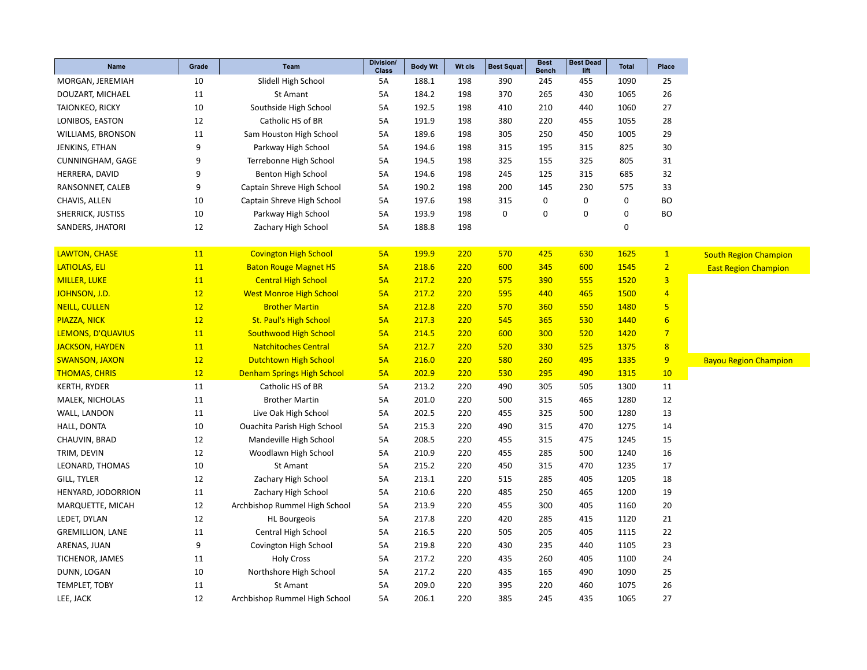| Name                    | Grade     | <b>Team</b>                        | Division/<br><b>Class</b> | <b>Body Wt</b> | Wt cls | <b>Best Squat</b> | <b>Best</b><br><b>Bench</b> | <b>Best Dead</b><br>lift | <b>Total</b> | Place            |
|-------------------------|-----------|------------------------------------|---------------------------|----------------|--------|-------------------|-----------------------------|--------------------------|--------------|------------------|
| MORGAN, JEREMIAH        | 10        | Slidell High School                | 5A                        | 188.1          | 198    | 390               | 245                         | 455                      | 1090         | 25               |
| DOUZART, MICHAEL        | 11        | St Amant                           | 5A                        | 184.2          | 198    | 370               | 265                         | 430                      | 1065         | 26               |
| <b>TAIONKEO, RICKY</b>  | 10        | Southside High School              | 5A                        | 192.5          | 198    | 410               | 210                         | 440                      | 1060         | 27               |
| LONIBOS, EASTON         | 12        | Catholic HS of BR                  | 5A                        | 191.9          | 198    | 380               | 220                         | 455                      | 1055         | 28               |
| WILLIAMS, BRONSON       | 11        | Sam Houston High School            | 5A                        | 189.6          | 198    | 305               | 250                         | 450                      | 1005         | 29               |
| JENKINS, ETHAN          | 9         | Parkway High School                | 5A                        | 194.6          | 198    | 315               | 195                         | 315                      | 825          | 30               |
| CUNNINGHAM, GAGE        | 9         | Terrebonne High School             | 5A                        | 194.5          | 198    | 325               | 155                         | 325                      | 805          | 31               |
| HERRERA, DAVID          | 9         | Benton High School                 | <b>5A</b>                 | 194.6          | 198    | 245               | 125                         | 315                      | 685          | 32               |
| RANSONNET, CALEB        | 9         | Captain Shreve High School         | 5A                        | 190.2          | 198    | 200               | 145                         | 230                      | 575          | 33               |
| CHAVIS, ALLEN           | 10        | Captain Shreve High School         | 5A                        | 197.6          | 198    | 315               | 0                           | $\mathbf 0$              | $\mathbf 0$  | <b>BO</b>        |
| SHERRICK, JUSTISS       | 10        | Parkway High School                | 5A                        | 193.9          | 198    | 0                 | $\mathbf 0$                 | 0                        | $\mathbf 0$  | <b>BO</b>        |
| SANDERS, JHATORI        | 12        | Zachary High School                | 5A                        | 188.8          | 198    |                   |                             |                          | $\mathbf 0$  |                  |
|                         |           |                                    |                           |                |        |                   |                             |                          |              |                  |
| <b>LAWTON, CHASE</b>    | 11        | <b>Covington High School</b>       | 5A                        | 199.9          | 220    | 570               | 425                         | 630                      | 1625         | $\overline{1}$   |
| LATIOLAS, ELI           | 11        | <b>Baton Rouge Magnet HS</b>       | 5A                        | 218.6          | 220    | 600               | 345                         | 600                      | 1545         | 2 <sub>1</sub>   |
| <b>MILLER, LUKE</b>     | 11        | <b>Central High School</b>         | 5A                        | 217.2          | 220    | 575               | 390                         | 555                      | 1520         | $\overline{3}$   |
| JOHNSON, J.D.           | 12        | <b>West Monroe High School</b>     | 5A                        | 217.2          | 220    | 595               | 440                         | 465                      | 1500         | $\overline{4}$   |
| <b>NEILL, CULLEN</b>    | 12        | <b>Brother Martin</b>              | 5A                        | 212.8          | 220    | 570               | 360                         | 550                      | 1480         | 5                |
| PIAZZA, NICK            | 12        | <b>St. Paul's High School</b>      | 5A                        | 217.3          | 220    | 545               | 365                         | 530                      | 1440         | $6\overline{6}$  |
| LEMONS, D'QUAVIUS       | 11        | <b>Southwood High School</b>       | 5A                        | 214.5          | 220    | 600               | 300                         | 520                      | 1420         | $\overline{7}$   |
| JACKSON, HAYDEN         | <b>11</b> | <b>Natchitoches Central</b>        | 5A                        | 212.7          | 220    | 520               | 330                         | 525                      | 1375         | $\boldsymbol{8}$ |
| <b>SWANSON, JAXON</b>   | 12        | <b>Dutchtown High School</b>       | 5A                        | 216.0          | 220    | 580               | 260                         | 495                      | 1335         | 9                |
| <b>THOMAS, CHRIS</b>    | 12        | <b>Denham Springs High School</b>  | 5A                        | 202.9          | 220    | 530               | 295                         | 490                      | 1315         | 10               |
| <b>KERTH, RYDER</b>     | 11        | Catholic HS of BR                  | 5A                        | 213.2          | 220    | 490               | 305                         | 505                      | 1300         | 11               |
| MALEK, NICHOLAS         | 11        | <b>Brother Martin</b>              | 5A                        | 201.0          | 220    | 500               | 315                         | 465                      | 1280         | 12               |
| WALL, LANDON            | 11        | Live Oak High School               | 5A                        | 202.5          | 220    | 455               | 325                         | 500                      | 1280         | 13               |
| HALL, DONTA             | 10        | <b>Ouachita Parish High School</b> | 5A                        | 215.3          | 220    | 490               | 315                         | 470                      | 1275         | 14               |
| CHAUVIN, BRAD           | 12        | Mandeville High School             | 5A                        | 208.5          | 220    | 455               | 315                         | 475                      | 1245         | 15               |
| TRIM, DEVIN             | 12        | Woodlawn High School               | 5A                        | 210.9          | 220    | 455               | 285                         | 500                      | 1240         | 16               |
| LEONARD, THOMAS         | 10        | St Amant                           | 5A                        | 215.2          | 220    | 450               | 315                         | 470                      | 1235         | 17               |
| GILL, TYLER             | 12        | Zachary High School                | <b>5A</b>                 | 213.1          | 220    | 515               | 285                         | 405                      | 1205         | 18               |
| HENYARD, JODORRION      | 11        | Zachary High School                | 5A                        | 210.6          | 220    | 485               | 250                         | 465                      | 1200         | 19               |
| MARQUETTE, MICAH        | 12        | Archbishop Rummel High School      | 5A                        | 213.9          | 220    | 455               | 300                         | 405                      | 1160         | 20               |
| LEDET, DYLAN            | 12        | <b>HL Bourgeois</b>                | 5A                        | 217.8          | 220    | 420               | 285                         | 415                      | 1120         | 21               |
| <b>GREMILLION, LANE</b> | 11        | <b>Central High School</b>         | 5A                        | 216.5          | 220    | 505               | 205                         | 405                      | 1115         | 22               |
| ARENAS, JUAN            | 9         | Covington High School              | 5A                        | 219.8          | 220    | 430               | 235                         | 440                      | 1105         | 23               |
| TICHENOR, JAMES         | 11        | <b>Holy Cross</b>                  | 5A                        | 217.2          | 220    | 435               | 260                         | 405                      | 1100         | 24               |
| DUNN, LOGAN             | 10        | Northshore High School             | 5A                        | 217.2          | 220    | 435               | 165                         | 490                      | 1090         | 25               |
| <b>TEMPLET, TOBY</b>    | 11        | <b>St Amant</b>                    | 5A                        | 209.0          | 220    | 395               | 220                         | 460                      | 1075         | 26               |
| LEE, JACK               | 12        | Archbishop Rummel High School      | 5A                        | 206.1          | 220    | 385               | 245                         | 435                      | 1065         | 27               |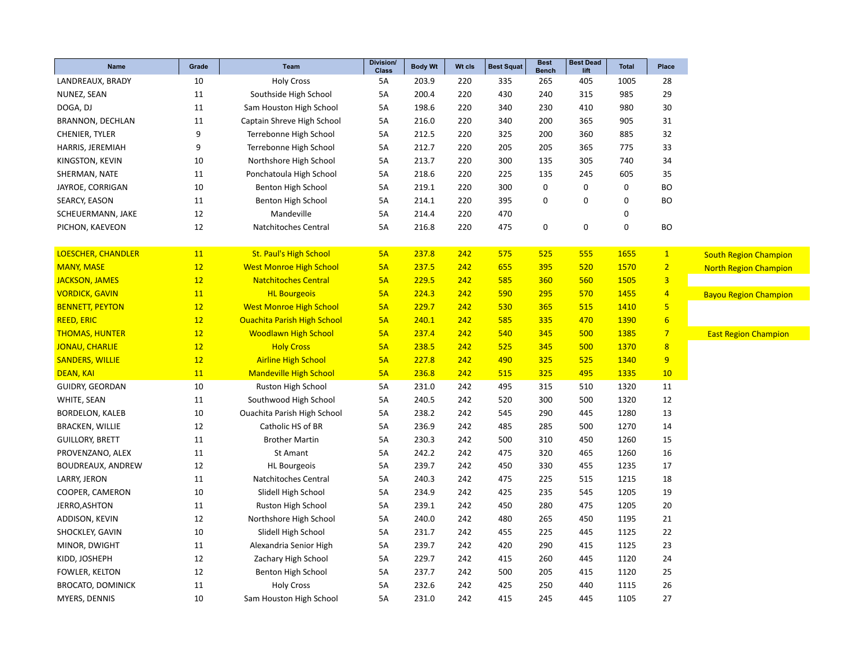| Name                     | Grade            | <b>Team</b>                        | Division/<br><b>Class</b> | <b>Body Wt</b> | Wt cls | <b>Best Squat</b> | <b>Best</b><br><b>Bench</b> | <b>Best Dead</b><br>lift | <b>Total</b> | Place                   |
|--------------------------|------------------|------------------------------------|---------------------------|----------------|--------|-------------------|-----------------------------|--------------------------|--------------|-------------------------|
| LANDREAUX, BRADY         | 10               | <b>Holy Cross</b>                  | 5A                        | 203.9          | 220    | 335               | 265                         | 405                      | 1005         | 28                      |
| NUNEZ, SEAN              | 11               | Southside High School              | 5A                        | 200.4          | 220    | 430               | 240                         | 315                      | 985          | 29                      |
| DOGA, DJ                 | 11               | Sam Houston High School            | 5A                        | 198.6          | 220    | 340               | 230                         | 410                      | 980          | 30                      |
| BRANNON, DECHLAN         | 11               | Captain Shreve High School         | 5A                        | 216.0          | 220    | 340               | 200                         | 365                      | 905          | 31                      |
| CHENIER, TYLER           | $\boldsymbol{9}$ | Terrebonne High School             | 5A                        | 212.5          | 220    | 325               | 200                         | 360                      | 885          | 32                      |
| HARRIS, JEREMIAH         | 9                | Terrebonne High School             | 5A                        | 212.7          | 220    | 205               | 205                         | 365                      | 775          | 33                      |
| KINGSTON, KEVIN          | 10               | Northshore High School             | 5A                        | 213.7          | 220    | 300               | 135                         | 305                      | 740          | 34                      |
| SHERMAN, NATE            | 11               | Ponchatoula High School            | 5A                        | 218.6          | 220    | 225               | 135                         | 245                      | 605          | 35                      |
| JAYROE, CORRIGAN         | 10               | Benton High School                 | 5A                        | 219.1          | 220    | 300               | 0                           | 0                        | 0            | <b>BO</b>               |
| <b>SEARCY, EASON</b>     | 11               | Benton High School                 | 5A                        | 214.1          | 220    | 395               | 0                           | $\pmb{0}$                | $\mathbf 0$  | <b>BO</b>               |
| SCHEUERMANN, JAKE        | 12               | Mandeville                         | 5A                        | 214.4          | 220    | 470               |                             |                          | 0            |                         |
| PICHON, KAEVEON          | 12               | Natchitoches Central               | 5A                        | 216.8          | 220    | 475               | 0                           | $\pmb{0}$                | $\mathbf 0$  | <b>BO</b>               |
| LOESCHER, CHANDLER       | 11               | <b>St. Paul's High School</b>      | 5A                        | 237.8          | 242    | 575               | 525                         | 555                      | 1655         | $\mathbf{1}$            |
| <b>MANY, MASE</b>        | 12               | <b>West Monroe High School</b>     | 5A                        | 237.5          | 242    | 655               | 395                         | 520                      | 1570         | $\overline{2}$          |
| <b>JACKSON, JAMES</b>    | 12               | <b>Natchitoches Central</b>        | 5A                        | 229.5          | 242    | 585               | 360                         | 560                      | 1505         | $\overline{\mathbf{3}}$ |
| <b>VORDICK, GAVIN</b>    | 11               | <b>HL Bourgeois</b>                | 5A                        | 224.3          | 242    | 590               | 295                         | 570                      | 1455         | $\overline{4}$          |
| <b>BENNETT, PEYTON</b>   | 12               | <b>West Monroe High School</b>     | 5A                        | 229.7          | 242    | 530               | 365                         | 515                      | 1410         | $\overline{\mathbf{5}}$ |
| <b>REED, ERIC</b>        | 12               | <b>Ouachita Parish High School</b> | 5A                        | 240.1          | 242    | 585               | 335                         | 470                      | 1390         | $6\phantom{1}6$         |
| <b>THOMAS, HUNTER</b>    | 12               | <b>Woodlawn High School</b>        | 5A                        | 237.4          | 242    | 540               | 345                         | 500                      | 1385         | $\overline{7}$          |
| <b>JONAU, CHARLIE</b>    | 12               | <b>Holy Cross</b>                  | 5A                        | 238.5          | 242    | 525               | 345                         | 500                      | 1370         | $\overline{\mathbf{8}}$ |
| <b>SANDERS, WILLIE</b>   | 12               | <b>Airline High School</b>         | 5A                        | 227.8          | 242    | 490               | 325                         | 525                      | 1340         | 9                       |
| <b>DEAN, KAI</b>         | 11               | <b>Mandeville High School</b>      | 5A                        | 236.8          | 242    | 515               | 325                         | 495                      | 1335         | 10                      |
| GUIDRY, GEORDAN          | 10               | Ruston High School                 | 5A                        | 231.0          | 242    | 495               | 315                         | 510                      | 1320         | 11                      |
| WHITE, SEAN              | 11               | Southwood High School              | 5A                        | 240.5          | 242    | 520               | 300                         | 500                      | 1320         | 12                      |
| <b>BORDELON, KALEB</b>   | 10               | <b>Ouachita Parish High School</b> | 5A                        | 238.2          | 242    | 545               | 290                         | 445                      | 1280         | 13                      |
| <b>BRACKEN, WILLIE</b>   | 12               | Catholic HS of BR                  | 5A                        | 236.9          | 242    | 485               | 285                         | 500                      | 1270         | 14                      |
| <b>GUILLORY, BRETT</b>   | 11               | <b>Brother Martin</b>              | 5A                        | 230.3          | 242    | 500               | 310                         | 450                      | 1260         | 15                      |
| PROVENZANO, ALEX         | 11               | St Amant                           | 5A                        | 242.2          | 242    | 475               | 320                         | 465                      | 1260         | 16                      |
| BOUDREAUX, ANDREW        | 12               | <b>HL Bourgeois</b>                | 5A                        | 239.7          | 242    | 450               | 330                         | 455                      | 1235         | 17                      |
| LARRY, JERON             | 11               | Natchitoches Central               | 5A                        | 240.3          | 242    | 475               | 225                         | 515                      | 1215         | 18                      |
| COOPER, CAMERON          | 10               | Slidell High School                | 5A                        | 234.9          | 242    | 425               | 235                         | 545                      | 1205         | 19                      |
| JERRO, ASHTON            | 11               | <b>Ruston High School</b>          | 5A                        | 239.1          | 242    | 450               | 280                         | 475                      | 1205         | 20                      |
| ADDISON, KEVIN           | 12               | Northshore High School             | 5A                        | 240.0          | 242    | 480               | 265                         | 450                      | 1195         | 21                      |
| SHOCKLEY, GAVIN          | 10               | Slidell High School                | 5A                        | 231.7          | 242    | 455               | 225                         | 445                      | 1125         | 22                      |
| MINOR, DWIGHT            | 11               | Alexandria Senior High             | 5A                        | 239.7          | 242    | 420               | 290                         | 415                      | 1125         | 23                      |
| KIDD, JOSHEPH            | 12               | Zachary High School                | 5A                        | 229.7          | 242    | 415               | 260                         | 445                      | 1120         | 24                      |
| FOWLER, KELTON           | 12               | Benton High School                 | 5A                        | 237.7          | 242    | 500               | 205                         | 415                      | 1120         | 25                      |
| <b>BROCATO, DOMINICK</b> | 11               | <b>Holy Cross</b>                  | 5A                        | 232.6          | 242    | 425               | 250                         | 440                      | 1115         | 26                      |
| MYERS, DENNIS            | 10               | Sam Houston High School            | <b>5A</b>                 | 231.0          | 242    | 415               | 245                         | 445                      | 1105         | 27                      |
|                          |                  |                                    |                           |                |        |                   |                             |                          |              |                         |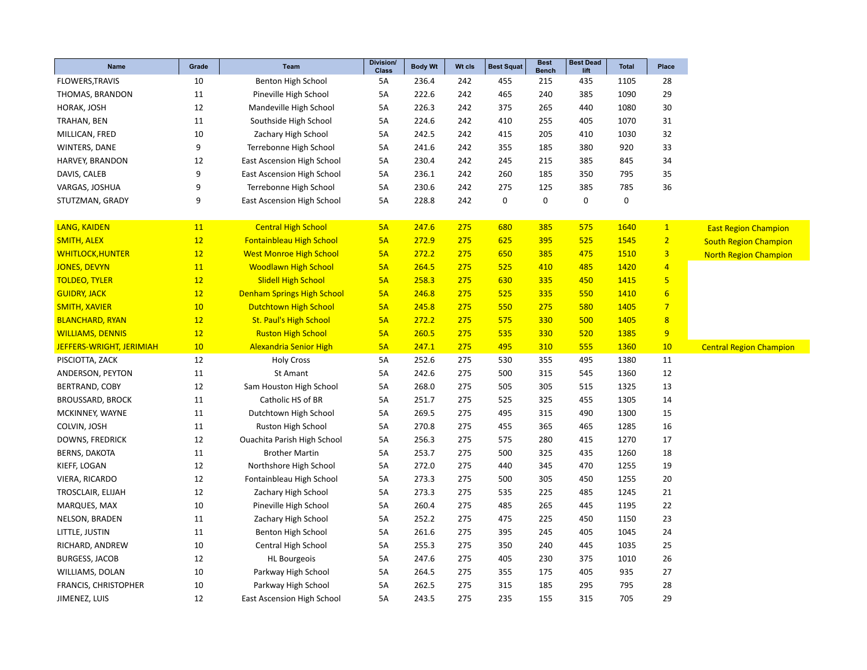| Name                        | Grade | <b>Team</b>                       | Division/<br><b>Class</b> | <b>Body Wt</b> | Wt cls | <b>Best Squat</b> | <b>Best</b><br><b>Bench</b> | <b>Best Dead</b><br>lift | Total       | Place           |                                |
|-----------------------------|-------|-----------------------------------|---------------------------|----------------|--------|-------------------|-----------------------------|--------------------------|-------------|-----------------|--------------------------------|
| <b>FLOWERS, TRAVIS</b>      | 10    | Benton High School                | 5A                        | 236.4          | 242    | 455               | 215                         | 435                      | 1105        | 28              |                                |
| THOMAS, BRANDON             | 11    | Pineville High School             | 5A                        | 222.6          | 242    | 465               | 240                         | 385                      | 1090        | 29              |                                |
| HORAK, JOSH                 | 12    | Mandeville High School            | 5A                        | 226.3          | 242    | 375               | 265                         | 440                      | 1080        | 30              |                                |
| TRAHAN, BEN                 | 11    | Southside High School             | 5A                        | 224.6          | 242    | 410               | 255                         | 405                      | 1070        | 31              |                                |
| MILLICAN, FRED              | 10    | Zachary High School               | 5A                        | 242.5          | 242    | 415               | 205                         | 410                      | 1030        | 32              |                                |
| WINTERS, DANE               | 9     | Terrebonne High School            | 5A                        | 241.6          | 242    | 355               | 185                         | 380                      | 920         | 33              |                                |
| HARVEY, BRANDON             | 12    | <b>East Ascension High School</b> | 5A                        | 230.4          | 242    | 245               | 215                         | 385                      | 845         | 34              |                                |
| DAVIS, CALEB                | 9     | <b>East Ascension High School</b> | 5A                        | 236.1          | 242    | 260               | 185                         | 350                      | 795         | 35              |                                |
| VARGAS, JOSHUA              | 9     | Terrebonne High School            | 5A                        | 230.6          | 242    | 275               | 125                         | 385                      | 785         | 36              |                                |
| STUTZMAN, GRADY             | 9     | <b>East Ascension High School</b> | <b>5A</b>                 | 228.8          | 242    | $\mathbf 0$       | $\mathbf 0$                 | 0                        | $\mathbf 0$ |                 |                                |
|                             |       |                                   |                           |                |        |                   |                             |                          |             |                 |                                |
| LANG, KAIDEN                | 11    | <b>Central High School</b>        | 5A                        | 247.6          | 275    | 680               | 385                         | 575                      | 1640        | 1               | <b>East Region Champion</b>    |
| <b>SMITH, ALEX</b>          | 12    | <b>Fontainbleau High School</b>   | 5A                        | 272.9          | 275    | 625               | 395                         | 525                      | 1545        | 2 <sub>1</sub>  | <b>South Region Champion</b>   |
| <b>WHITLOCK, HUNTER</b>     | 12    | <b>West Monroe High School</b>    | 5A                        | 272.2          | 275    | 650               | 385                         | 475                      | 1510        | $\overline{3}$  | <b>North Region Champion</b>   |
| <b>JONES, DEVYN</b>         | 11    | <b>Woodlawn High School</b>       | 5A                        | 264.5          | 275    | 525               | 410                         | 485                      | 1420        | $\overline{4}$  |                                |
| <b>TOLDEO, TYLER</b>        | 12    | <b>Slidell High School</b>        | 5A                        | 258.3          | 275    | 630               | 335                         | 450                      | 1415        | 5 <sub>5</sub>  |                                |
| <b>GUIDRY, JACK</b>         | 12    | <b>Denham Springs High School</b> | 5A                        | 246.8          | 275    | 525               | 335                         | 550                      | 1410        | $6\overline{6}$ |                                |
| <b>SMITH, XAVIER</b>        | 10    | <b>Dutchtown High School</b>      | 5A                        | 245.8          | 275    | 550               | 275                         | 580                      | 1405        | $\overline{7}$  |                                |
| <b>BLANCHARD, RYAN</b>      | 12    | <b>St. Paul's High School</b>     | 5A                        | 272.2          | 275    | 575               | 330                         | 500                      | 1405        | 8               |                                |
| <b>WILLIAMS, DENNIS</b>     | 12    | <b>Ruston High School</b>         | 5A                        | 260.5          | 275    | 535               | 330                         | 520                      | 1385        | 9               |                                |
| JEFFERS-WRIGHT, JERIMIAH    | 10    | <b>Alexandria Senior High</b>     | 5A                        | 247.1          | 275    | 495               | 310                         | 555                      | 1360        | 10              | <b>Central Region Champion</b> |
| PISCIOTTA, ZACK             | 12    | <b>Holy Cross</b>                 | 5A                        | 252.6          | 275    | 530               | 355                         | 495                      | 1380        | 11              |                                |
| ANDERSON, PEYTON            | 11    | St Amant                          | 5A                        | 242.6          | 275    | 500               | 315                         | 545                      | 1360        | 12              |                                |
| BERTRAND, COBY              | 12    | Sam Houston High School           | 5A                        | 268.0          | 275    | 505               | 305                         | 515                      | 1325        | 13              |                                |
| <b>BROUSSARD, BROCK</b>     | 11    | Catholic HS of BR                 | 5A                        | 251.7          | 275    | 525               | 325                         | 455                      | 1305        | 14              |                                |
| MCKINNEY, WAYNE             | 11    | Dutchtown High School             | 5A                        | 269.5          | 275    | 495               | 315                         | 490                      | 1300        | 15              |                                |
| COLVIN, JOSH                | 11    | Ruston High School                | 5A                        | 270.8          | 275    | 455               | 365                         | 465                      | 1285        | 16              |                                |
| DOWNS, FREDRICK             | 12    | Ouachita Parish High School       | 5A                        | 256.3          | 275    | 575               | 280                         | 415                      | 1270        | 17              |                                |
| <b>BERNS, DAKOTA</b>        | 11    | <b>Brother Martin</b>             | <b>5A</b>                 | 253.7          | 275    | 500               | 325                         | 435                      | 1260        | 18              |                                |
| KIEFF, LOGAN                | 12    | Northshore High School            | <b>5A</b>                 | 272.0          | 275    | 440               | 345                         | 470                      | 1255        | 19              |                                |
| VIERA, RICARDO              | 12    | Fontainbleau High School          | 5A                        | 273.3          | 275    | 500               | 305                         | 450                      | 1255        | 20              |                                |
| TROSCLAIR, ELIJAH           | 12    | Zachary High School               | 5A                        | 273.3          | 275    | 535               | 225                         | 485                      | 1245        | 21              |                                |
| MARQUES, MAX                | 10    | Pineville High School             | 5A                        | 260.4          | 275    | 485               | 265                         | 445                      | 1195        | 22              |                                |
| NELSON, BRADEN              | 11    | Zachary High School               | 5A                        | 252.2          | 275    | 475               | 225                         | 450                      | 1150        | 23              |                                |
| LITTLE, JUSTIN              | 11    | Benton High School                | 5A                        | 261.6          | 275    | 395               | 245                         | 405                      | 1045        | 24              |                                |
| RICHARD, ANDREW             | 10    | Central High School               | 5A                        | 255.3          | 275    | 350               | 240                         | 445                      | 1035        | 25              |                                |
| <b>BURGESS, JACOB</b>       | 12    | <b>HL Bourgeois</b>               | 5A                        | 247.6          | 275    | 405               | 230                         | 375                      | 1010        | 26              |                                |
| WILLIAMS, DOLAN             | 10    | Parkway High School               | 5A                        | 264.5          | 275    | 355               | 175                         | 405                      | 935         | 27              |                                |
| <b>FRANCIS, CHRISTOPHER</b> | 10    | Parkway High School               | 5A                        | 262.5          | 275    | 315               | 185                         | 295                      | 795         | 28              |                                |
| JIMENEZ, LUIS               | 12    | <b>East Ascension High School</b> | 5A                        | 243.5          | 275    | 235               | 155                         | 315                      | 705         | 29              |                                |